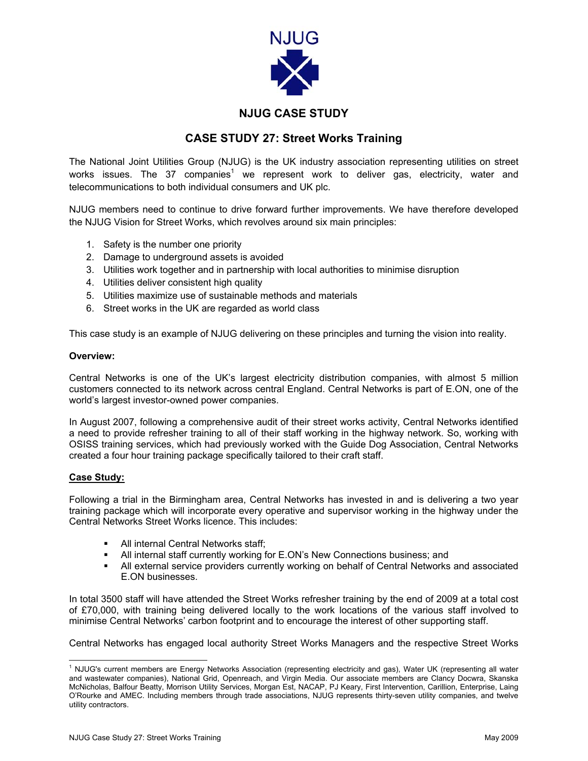

## **NJUG CASE STUDY**

## **CASE STUDY 27: Street Works Training**

The National Joint Utilities Group (NJUG) is the UK industry association representing utilities on street works issues. The 37 companies<sup>[1](#page-0-0)</sup> we represent work to deliver gas, electricity, water and telecommunications to both individual consumers and UK plc.

NJUG members need to continue to drive forward further improvements. We have therefore developed the NJUG Vision for Street Works, which revolves around six main principles:

- 1. Safety is the number one priority
- 2. Damage to underground assets is avoided
- 3. Utilities work together and in partnership with local authorities to minimise disruption
- 4. Utilities deliver consistent high quality
- 5. Utilities maximize use of sustainable methods and materials
- 6. Street works in the UK are regarded as world class

This case study is an example of NJUG delivering on these principles and turning the vision into reality.

## **Overview:**

Central Networks is one of the UK's largest electricity distribution companies, with almost 5 million customers connected to its network across central England. Central Networks is part of E.ON, one of the world's largest investor-owned power companies.

In August 2007, following a comprehensive audit of their street works activity, Central Networks identified a need to provide refresher training to all of their staff working in the highway network. So, working with OSISS training services, which had previously worked with the Guide Dog Association, Central Networks created a four hour training package specifically tailored to their craft staff.

## **Case Study:**

Following a trial in the Birmingham area, Central Networks has invested in and is delivering a two year training package which will incorporate every operative and supervisor working in the highway under the Central Networks Street Works licence. This includes:

- All internal Central Networks staff;
- All internal staff currently working for E.ON's New Connections business; and
- All external service providers currently working on behalf of Central Networks and associated E.ON businesses.

In total 3500 staff will have attended the Street Works refresher training by the end of 2009 at a total cost of £70,000, with training being delivered locally to the work locations of the various staff involved to minimise Central Networks' carbon footprint and to encourage the interest of other supporting staff.

Central Networks has engaged local authority Street Works Managers and the respective Street Works

<span id="page-0-0"></span> $\frac{1}{1}$ <sup>1</sup> NJUG's current members are Energy Networks Association (representing electricity and gas), Water UK (representing all water and wastewater companies), National Grid, Openreach, and Virgin Media. Our associate members are Clancy Docwra, Skanska McNicholas, Balfour Beatty, Morrison Utility Services, Morgan Est, NACAP, PJ Keary, First Intervention, Carillion, Enterprise, Laing O'Rourke and AMEC. Including members through trade associations, NJUG represents thirty-seven utility companies, and twelve utility contractors.